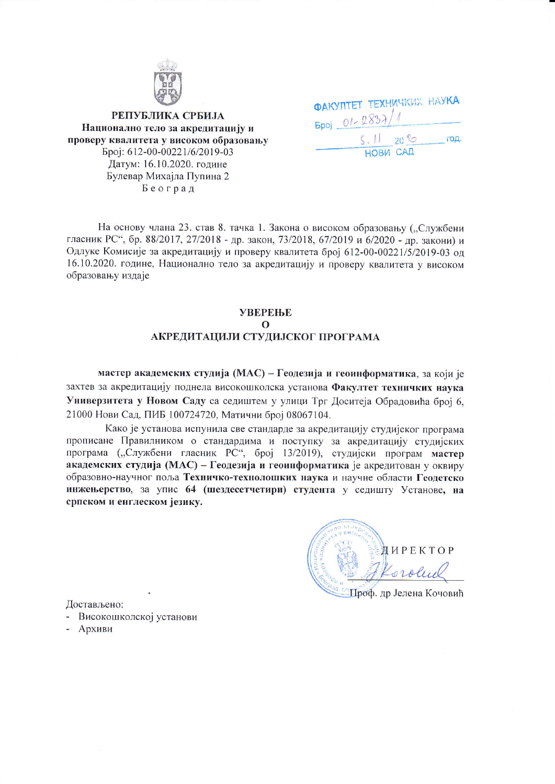

РЕПУБЛИКА СРБИЈА Национално тело за акредитацију и проверу квалитета у високом образовању Epoj: 612-00-00221/6/2019-03 Датум: 16.10.2020. године Булевар Михајла Пупина 2 Београд

| <b><i><u><b>ФАКУЛТЕТ ТЕХНИЧКИХ НАУКА</b></u></i></b> |  |
|------------------------------------------------------|--|
| $500j - 01 - 2837/1$                                 |  |
| 5.1120%<br>год.                                      |  |
| <b>НОВИ САД</b>                                      |  |

На основу члана 23. став 8. тачка 1. Закона о високом образовању ("Службени гласник РС", бр. 88/2017, 27/2018 - др. закон, 73/2018, 67/2019 и 6/2020 - др. закони) и Одлуке Комисије за акредитацију и проверу квалитета број 612-00-00221/5/2019-03 од 16.10.2020. године, Национално тело за акредитацију и проверу квалитета у високом образовању издаје

## **УВЕРЕЊЕ**  $\Omega$ АКРЕДИТАЦИЈИ СТУДИЈСКОГ ПРОГРАМА

мастер академских студија (МАС) - Геодезија и геоинформатика, за који је захтев за акредитацију поднела високошколска установа Факултет техничких наука Универзитета у Новом Саду са седиштем у улици Трг Доситеја Обрадовића број 6, 21000 Нови Сад, ПИБ 100724720, Матични број 08067104.

Како је установа испунила све стандарде за акредитацију студијског програма прописане Правилником о стандардима и поступку за акредитацију студијских програма ("Службени гласник РС", број 13/2019), студијски програм мастер академских студија (МАС) – Геодезија и геоинформатика је акредитован у оквиру образовно-научног поља Техничко-технолошких наука и научне области Геодетско инжењерство, за упис 64 (шездесетчетири) студента у седишту Установе, на српском и енглеском језику.

**ДИРЕКТОР** Проф. др Јелена Кочовић

Достављено:

- Високошколској установи
- Архиви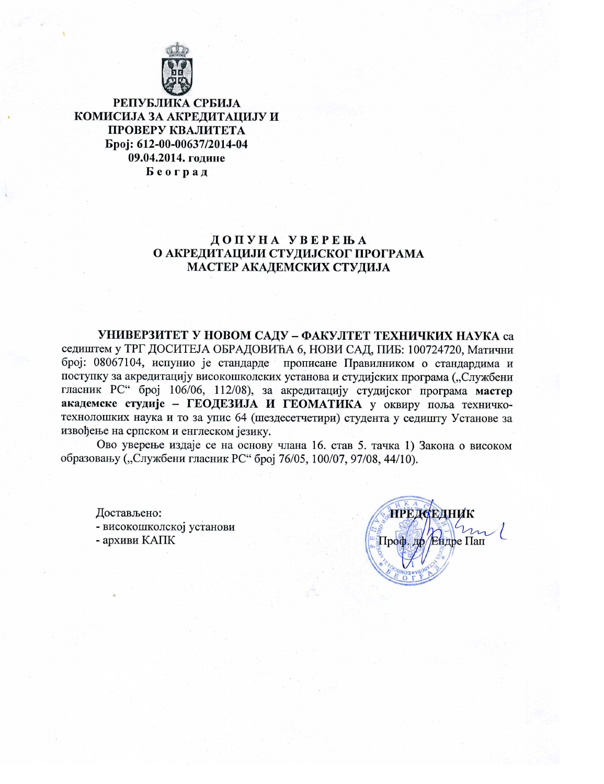

РЕПУБЛИКА СРБИЈА КОМИСИЈА ЗА АКРЕДИТАЦИЈУ И ПРОВЕРУ КВАЛИТЕТА Epoj: 612-00-00637/2014-04 09.04.2014. године Београд

# ДОПУНА УВЕРЕЊА О АКРЕДИТАЦИЈИ СТУДИЈСКОГ ПРОГРАМА МАСТЕР АКАДЕМСКИХ СТУДИЈА

УНИВЕРЗИТЕТ У НОВОМ САДУ - ФАКУЛТЕТ ТЕХНИЧКИХ НАУКА са седиштем у ТРГ ДОСИТЕЈА ОБРАДОВИЋА 6, НОВИ САД, ПИБ: 100724720, Матични број: 08067104, испунио је стандарде прописане Правилником о стандардима и поступку за акредитацију високошколских установа и студијских програма ("Службени гласник РС" број 106/06, 112/08), за акредитацију студијског програма мастер академске студије - ГЕОДЕЗИЈА И ГЕОМАТИКА у оквиру поља техничкотехнолошких наука и то за упис 64 (шездесетчетири) студента у седишту Установе за извођење на српском и енглеском језику.

Ово уверење издаје се на основу члана 16. став 5. тачка 1) Закона о високом образовању ("Службени гласник РС" број 76/05, 100/07, 97/08, 44/10).

Достављено: - високошколској установи - архиви КАПК

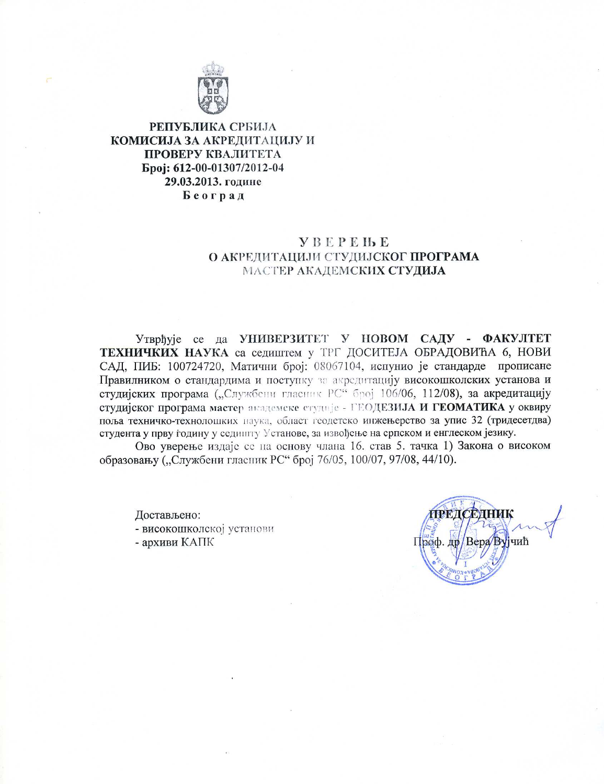

# РЕПУБЛИКА СРБИЈА КОМИСИЈА ЗА АКРЕДИТАЦИЈУ И ПРОВЕРУ КВАЛИТЕТА Epoi: 612-00-01307/2012-04 29.03.2013. године Београд

# **YBEPEHE** О АКРЕДИТАЦИЈИ СТУДИЈСКОГ ПРОГРАМА МАСТЕР АКАДЕМСКИХ СТУДИЈА

Утврђује се да УНИВЕРЗИТЕТ У НОВОМ САДУ - ФАКУЛТЕТ **ТЕХНИЧКИХ НАУКА са седиштем у ТРГ ДОСИТЕЈА ОБРАДОВИЋА 6, НОВИ** САД, ПИБ: 100724720, Матични број: 08067104, испунио је стандарде прописане Правилником о стандардима и поступку за акредитацију високошколских установа и студијских програма ("Службени гласник РС" број 106/06, 112/08), за акредитацију студијског програма мастер академске студије - ГЕОДЕЗИЈА И ГЕОМАТИКА у оквиру поља техничко-технолошких наука, област геодетско инжењерство за упис 32 (тридесетдва) студента у прву годину у седишту Установе, за извођење на српском и енглеском језику.

Ово уверење издаје се на основу члана 16. став 5. тачка 1) Закона о високом образовању ("Службени гласник РС" број 76/05, 100/07, 97/08, 44/10).

Достављено: - високошколској установи

- архиви КАПК

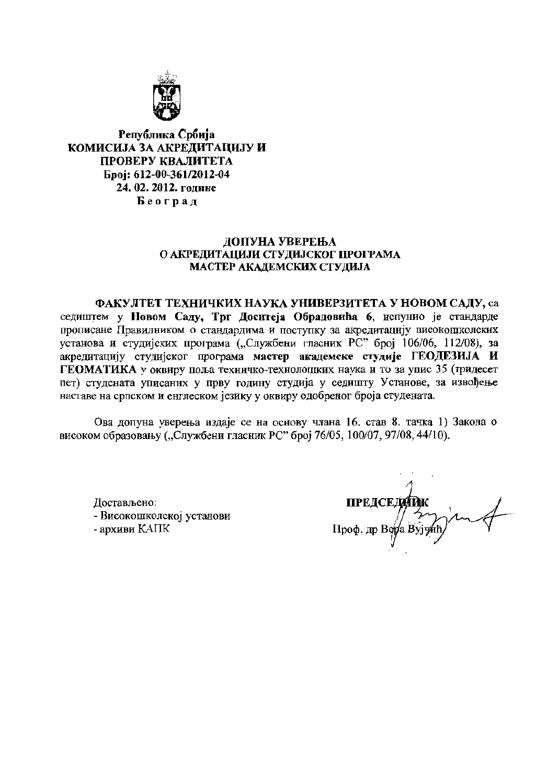

Република Србија КОМИСИЈА ЗА АКРЕЛИТАНИЈУ И ПРОВЕРУ КВАЛИТЕТА Epoi: 612-00-361/2012-04 24. 02. 2012. године Београд

#### ДОПУНА УВЕРЕЊА О АКРЕДИТАЦИЈИ СТУДИЈСКОГ ПРОГРАМА МАСТЕР АКАДЕМСКИХ СТУДИЈА

ФАКУЛТЕТ ТЕХНИЧКИХ НАУКА УНИВЕРЗИТЕТА У НОВОМ САДУ, са седиштем у Новом Саду, Трг Доситеја Обрадовића 6, испунио је стандарде прописане Правилником о стандардима и поступку за акредитацију високошколских установа и студијских програма ("Службени гласник РС" број 106/06, 112/08), за акредитацију студијског програма мастер академске студије ГЕОДЕЗИЈА И ГЕОМАТИКА у оквиру поља техничко-технолошких наука и то за упис 35 (тридесет пет) студената уписаних у прву годину студија у седишту Установе, за извођење наставе на српском и енглеском језику у оквиру одобреног броја студената.

Ова допуна уверења издаје се на основу члана 16. став 8. тачка 1) Закона о високом образовању ("Службени гласник РС" број 76/05, 100/07, 97/08, 44/10).

Достављено: - Високошколској установи - архиви КАПК

ПРЕДСЕДИТИК